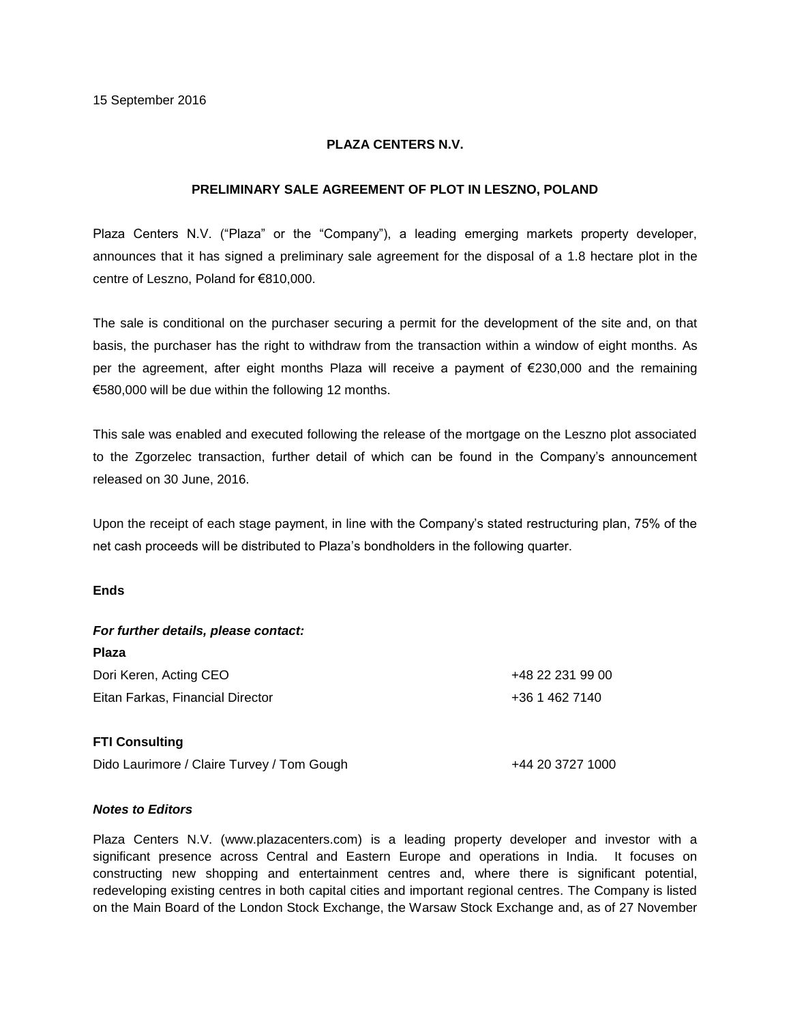## **PLAZA CENTERS N.V.**

## **PRELIMINARY SALE AGREEMENT OF PLOT IN LESZNO, POLAND**

Plaza Centers N.V. ("Plaza" or the "Company"), a leading emerging markets property developer, announces that it has signed a preliminary sale agreement for the disposal of a 1.8 hectare plot in the centre of Leszno, Poland for €810,000.

The sale is conditional on the purchaser securing a permit for the development of the site and, on that basis, the purchaser has the right to withdraw from the transaction within a window of eight months. As per the agreement, after eight months Plaza will receive a payment of €230,000 and the remaining €580,000 will be due within the following 12 months.

This sale was enabled and executed following the release of the mortgage on the Leszno plot associated to the Zgorzelec transaction, further detail of which can be found in the Company's announcement released on 30 June, 2016.

Upon the receipt of each stage payment, in line with the Company's stated restructuring plan, 75% of the net cash proceeds will be distributed to Plaza's bondholders in the following quarter.

## **Ends**

| For further details, please contact:       |                  |
|--------------------------------------------|------------------|
| <b>Plaza</b>                               |                  |
| Dori Keren, Acting CEO                     | +48 22 231 99 00 |
| Eitan Farkas, Financial Director           | +36 1 462 7140   |
| <b>FTI Consulting</b>                      |                  |
| Dido Laurimore / Claire Turvey / Tom Gough | +44 20 3727 1000 |

## *Notes to Editors*

Plaza Centers N.V. (www.plazacenters.com) is a leading property developer and investor with a significant presence across Central and Eastern Europe and operations in India. It focuses on constructing new shopping and entertainment centres and, where there is significant potential, redeveloping existing centres in both capital cities and important regional centres. The Company is listed on the Main Board of the London Stock Exchange, the Warsaw Stock Exchange and, as of 27 November